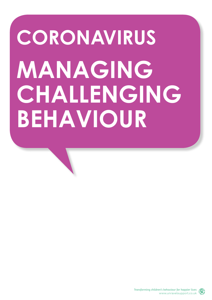# **CORONAVIRUS MANAGING CHALLENGING BEHAVIOUR**

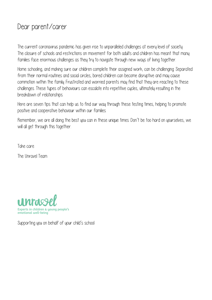### Dear parent/carer

The current coronavirus pandemic has given rise to unparalleled challenges at every level of society. The closure of schools and restrictions on movement for both adults and children has meant that many families face enormous challenges as they try to navigate through new ways of living together.

Home schooling, and making sure our children complete their assigned work, can be challenging. Separated from their normal routines and social circles, bored children can become disruptive and may cause commotion within the family. Frustrated and worried parents may find that they are reacting to these challenges. These types of behaviours can escalate into repetitive cycles, ultimately resulting in the breakdown of relationships.

Here are seven tips that can help us to find our way through these testing times, helping to promote positive and cooperative behaviour within our families.

Remember, we are all doing the best you can in these unique times. Don't be too hard on yourselves, we will all get through this together.

Take care

The Unravel Team



Supporting you on behalf of your child's school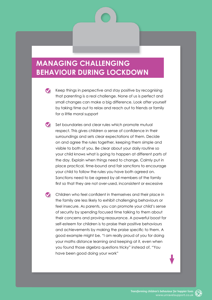#### **MANAGING CHALLENGING BEHAVIOUR DURING LOCKDOWN**

- Keep things in perspective and stay positive by recognising  $\bullet$ that parenting is a real challenge. None of us is perfect and small changes can make a big difference. Look after yourself by taking time out to relax and reach out to friends or family for a little moral support
- Set boundaries and clear rules which promote mutual respect. This gives children a sense of confidence in their surroundings and sets clear expectations of them. Decide on and agree the rules together, keeping them simple and visible to both of you. Be clear about your daily routine so your child knows what is going to happen at different parts of the day. Explain when things need to change. Calmly put in place practical, time-bound and fair sanctions to encourage your child to follow the rules you have both agreed on. Sanctions need to be agreed by all members of the family first so that they are not over-used, inconsistent or excessive

Children who feel confident in themselves and their place in the family are less likely to exhibit challenging behaviours or feel insecure. As parents, you can promote your child's sense of security by spending focused time talking to them about their concerns and proving reassurance. A powerful boost for self-esteem for children is to praise their positive behaviours and achievements by making the praise specific to them. A good example might be, "I am really proud of you for doing your maths distance learning and keeping at it, even when you found those algebra questions tricky" instead of, "You have been good doing your work"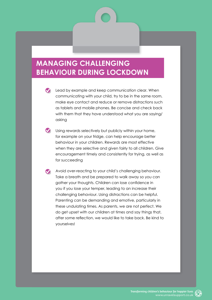#### **MANAGING CHALLENGING BEHAVIOUR DURING LOCKDOWN**

Lead by example and keep communication clear. When communicating with your child, try to be in the same room, make eye contact and reduce or remove distractions such as tablets and mobile phones. Be concise and check back with them that they have understood what you are saying/ asking

- Using rewards selectively but publicly within your home, for example on your fridge, can help encourage better behaviour in your children. Rewards are most effective when they are selective and given fairly to all children. Give encouragement timely and consistently for trying, as well as for succeeding
- Avoid over-reacting to your child's challenging behaviour. Take a breath and be prepared to walk away so you can gather your thoughts. Children can lose confidence in you if you lose your temper, leading to an increase their challenging behaviour. Using distractions can be helpful. Parenting can be demanding and emotive, particularly in these undulating times. As parents, we are not perfect. We do get upset with our children at times and say things that, after some reflection, we would like to take back. Be kind to yourselves!